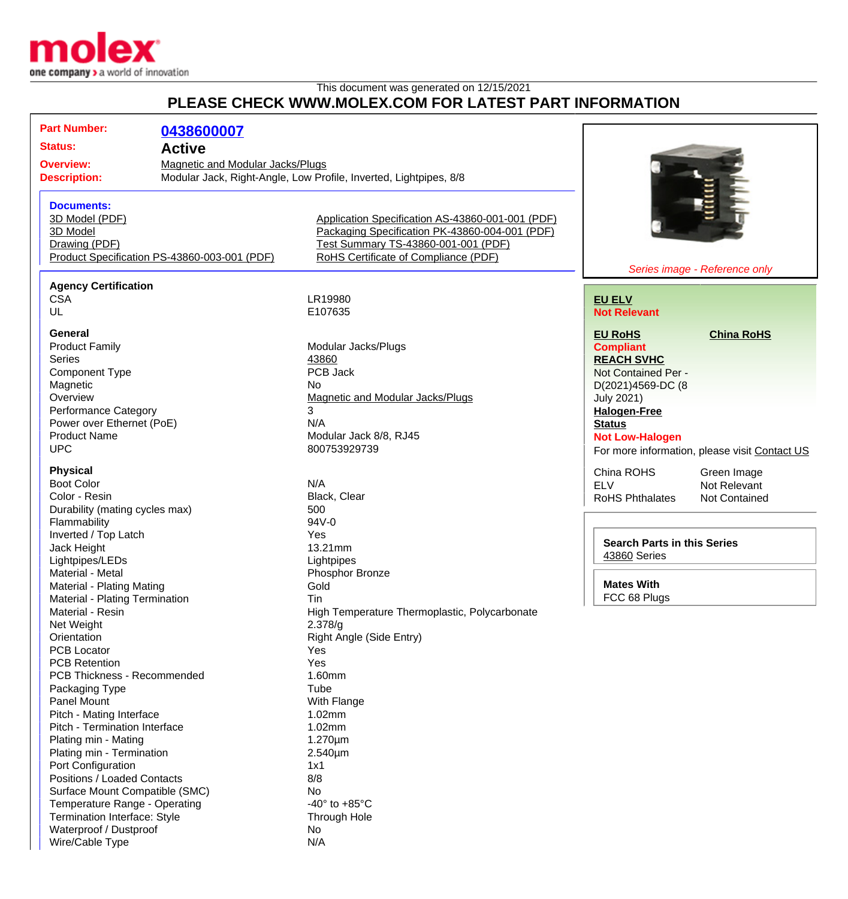

Wire/Cable Type N/A

## This document was generated on 12/15/2021 **PLEASE CHECK WWW.MOLEX.COM FOR LATEST PART INFORMATION**

| <b>Part Number:</b>                          | 0438600007                                                        |                                                  |                                    |                                               |
|----------------------------------------------|-------------------------------------------------------------------|--------------------------------------------------|------------------------------------|-----------------------------------------------|
| <b>Status:</b>                               | <b>Active</b>                                                     |                                                  |                                    |                                               |
| <b>Overview:</b>                             | <b>Magnetic and Modular Jacks/Plugs</b>                           |                                                  |                                    |                                               |
| <b>Description:</b>                          | Modular Jack, Right-Angle, Low Profile, Inverted, Lightpipes, 8/8 |                                                  |                                    |                                               |
|                                              |                                                                   |                                                  |                                    |                                               |
| <b>Documents:</b>                            |                                                                   |                                                  |                                    |                                               |
|                                              |                                                                   |                                                  |                                    |                                               |
| 3D Model (PDF)                               |                                                                   | Application Specification AS-43860-001-001 (PDF) |                                    |                                               |
| 3D Model                                     |                                                                   | Packaging Specification PK-43860-004-001 (PDF)   |                                    |                                               |
| Drawing (PDF)                                |                                                                   | Test Summary TS-43860-001-001 (PDF)              |                                    |                                               |
| Product Specification PS-43860-003-001 (PDF) |                                                                   | RoHS Certificate of Compliance (PDF)             |                                    |                                               |
| Series image - Reference only                |                                                                   |                                                  |                                    |                                               |
| <b>Agency Certification</b>                  |                                                                   |                                                  |                                    |                                               |
| <b>CSA</b>                                   |                                                                   | LR19980                                          | <b>EU ELV</b>                      |                                               |
| UL                                           |                                                                   | E107635                                          | <b>Not Relevant</b>                |                                               |
| General                                      |                                                                   |                                                  | <b>EU RoHS</b>                     | <b>China RoHS</b>                             |
| <b>Product Family</b>                        |                                                                   | Modular Jacks/Plugs                              | <b>Compliant</b>                   |                                               |
| <b>Series</b>                                |                                                                   | 43860                                            | <b>REACH SVHC</b>                  |                                               |
| <b>Component Type</b>                        |                                                                   | PCB Jack                                         | Not Contained Per -                |                                               |
| Magnetic                                     |                                                                   | <b>No</b>                                        |                                    |                                               |
| Overview                                     |                                                                   | Magnetic and Modular Jacks/Plugs                 | D(2021)4569-DC (8                  |                                               |
| <b>Performance Category</b>                  |                                                                   | 3                                                | <b>July 2021)</b>                  |                                               |
| Power over Ethernet (PoE)                    |                                                                   | N/A                                              | <b>Halogen-Free</b>                |                                               |
| <b>Product Name</b>                          |                                                                   | Modular Jack 8/8, RJ45                           | <b>Status</b>                      |                                               |
|                                              |                                                                   |                                                  | <b>Not Low-Halogen</b>             |                                               |
| <b>UPC</b>                                   |                                                                   | 800753929739                                     |                                    | For more information, please visit Contact US |
| <b>Physical</b>                              |                                                                   |                                                  | China ROHS                         | Green Image                                   |
| <b>Boot Color</b>                            |                                                                   | N/A                                              | <b>ELV</b>                         | Not Relevant                                  |
| Color - Resin                                |                                                                   | Black, Clear                                     | <b>RoHS Phthalates</b>             | <b>Not Contained</b>                          |
| Durability (mating cycles max)               |                                                                   | 500                                              |                                    |                                               |
| Flammability                                 |                                                                   | 94V-0                                            |                                    |                                               |
| Inverted / Top Latch                         |                                                                   | Yes                                              | <b>Search Parts in this Series</b> |                                               |
| Jack Height                                  |                                                                   | 13.21mm                                          | <b>43860 Series</b>                |                                               |
| Lightpipes/LEDs                              |                                                                   | Lightpipes                                       |                                    |                                               |
| Material - Metal                             |                                                                   | Phosphor Bronze                                  |                                    |                                               |
| Material - Plating Mating                    |                                                                   | Gold                                             | <b>Mates With</b>                  |                                               |
| Material - Plating Termination               |                                                                   | Tin                                              | FCC 68 Plugs                       |                                               |
| Material - Resin                             |                                                                   | High Temperature Thermoplastic, Polycarbonate    |                                    |                                               |
| Net Weight                                   |                                                                   | 2.378/g                                          |                                    |                                               |
| Orientation                                  |                                                                   | Right Angle (Side Entry)                         |                                    |                                               |
| <b>PCB Locator</b>                           |                                                                   | Yes                                              |                                    |                                               |
| <b>PCB Retention</b>                         |                                                                   | Yes                                              |                                    |                                               |
| PCB Thickness - Recommended                  |                                                                   | 1.60mm                                           |                                    |                                               |
| Packaging Type                               |                                                                   | Tube                                             |                                    |                                               |
| Panel Mount                                  |                                                                   | With Flange                                      |                                    |                                               |
| Pitch - Mating Interface                     |                                                                   | 1.02mm                                           |                                    |                                               |
| Pitch - Termination Interface                |                                                                   | 1.02mm                                           |                                    |                                               |
| Plating min - Mating                         |                                                                   | 1.270µm                                          |                                    |                                               |
| Plating min - Termination                    |                                                                   | 2.540µm                                          |                                    |                                               |
| Port Configuration                           |                                                                   | 1x1                                              |                                    |                                               |
| Positions / Loaded Contacts                  |                                                                   | 8/8                                              |                                    |                                               |
| Surface Mount Compatible (SMC)               |                                                                   | No                                               |                                    |                                               |
| Temperature Range - Operating                |                                                                   | -40 $\degree$ to +85 $\degree$ C                 |                                    |                                               |
| Termination Interface: Style                 |                                                                   | Through Hole                                     |                                    |                                               |
| Waterproof / Dustproof                       |                                                                   | No                                               |                                    |                                               |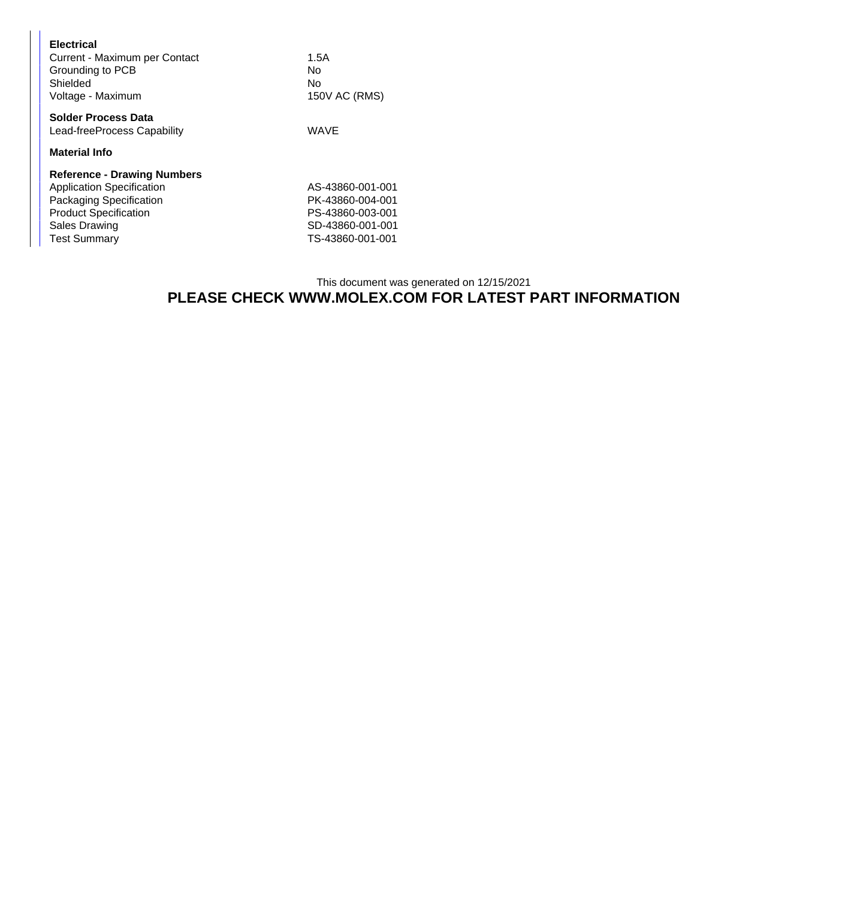## This document was generated on 12/15/2021 **PLEASE CHECK WWW.MOLEX.COM FOR LATEST PART INFORMATION**